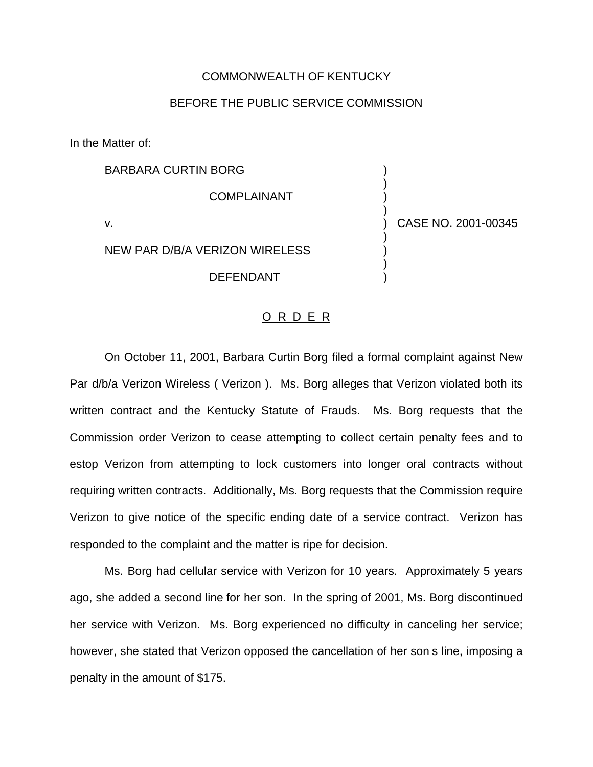## COMMONWEALTH OF KENTUCKY

## BEFORE THE PUBLIC SERVICE COMMISSION

In the Matter of:

BARBARA CURTIN BORG ) ) **COMPLAINANT** ) v. ) CASE NO. 2001-00345 ) NEW PAR D/B/A VERIZON WIRELESS ) ) **DEFENDANT** 

## O R D E R

On October 11, 2001, Barbara Curtin Borg filed a formal complaint against New Par d/b/a Verizon Wireless ( Verizon ). Ms. Borg alleges that Verizon violated both its written contract and the Kentucky Statute of Frauds. Ms. Borg requests that the Commission order Verizon to cease attempting to collect certain penalty fees and to estop Verizon from attempting to lock customers into longer oral contracts without requiring written contracts. Additionally, Ms. Borg requests that the Commission require Verizon to give notice of the specific ending date of a service contract. Verizon has responded to the complaint and the matter is ripe for decision.

Ms. Borg had cellular service with Verizon for 10 years. Approximately 5 years ago, she added a second line for her son. In the spring of 2001, Ms. Borg discontinued her service with Verizon. Ms. Borg experienced no difficulty in canceling her service; however, she stated that Verizon opposed the cancellation of her son s line, imposing a penalty in the amount of \$175.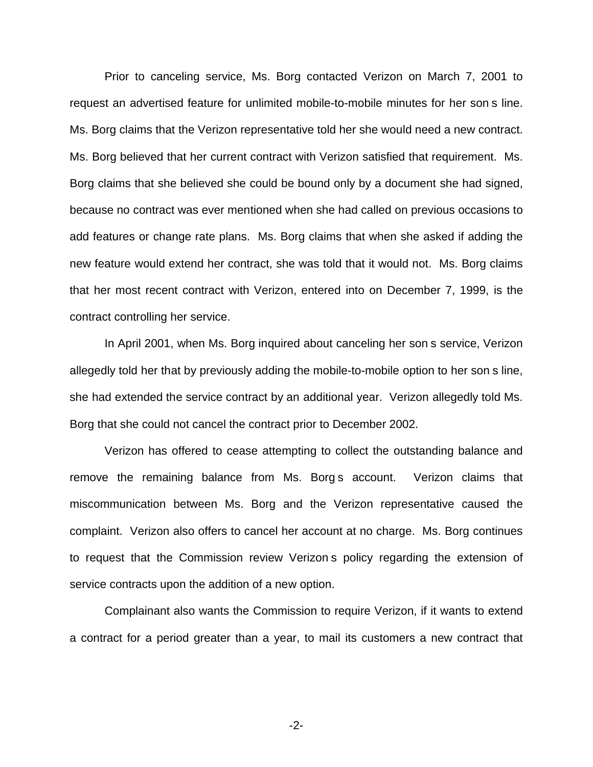Prior to canceling service, Ms. Borg contacted Verizon on March 7, 2001 to request an advertised feature for unlimited mobile-to-mobile minutes for her son s line. Ms. Borg claims that the Verizon representative told her she would need a new contract. Ms. Borg believed that her current contract with Verizon satisfied that requirement. Ms. Borg claims that she believed she could be bound only by a document she had signed, because no contract was ever mentioned when she had called on previous occasions to add features or change rate plans. Ms. Borg claims that when she asked if adding the new feature would extend her contract, she was told that it would not. Ms. Borg claims that her most recent contract with Verizon, entered into on December 7, 1999, is the contract controlling her service.

In April 2001, when Ms. Borg inquired about canceling her son s service, Verizon allegedly told her that by previously adding the mobile-to-mobile option to her son s line, she had extended the service contract by an additional year. Verizon allegedly told Ms. Borg that she could not cancel the contract prior to December 2002.

Verizon has offered to cease attempting to collect the outstanding balance and remove the remaining balance from Ms. Borg s account. Verizon claims that miscommunication between Ms. Borg and the Verizon representative caused the complaint. Verizon also offers to cancel her account at no charge. Ms. Borg continues to request that the Commission review Verizon s policy regarding the extension of service contracts upon the addition of a new option.

Complainant also wants the Commission to require Verizon, if it wants to extend a contract for a period greater than a year, to mail its customers a new contract that

-2-